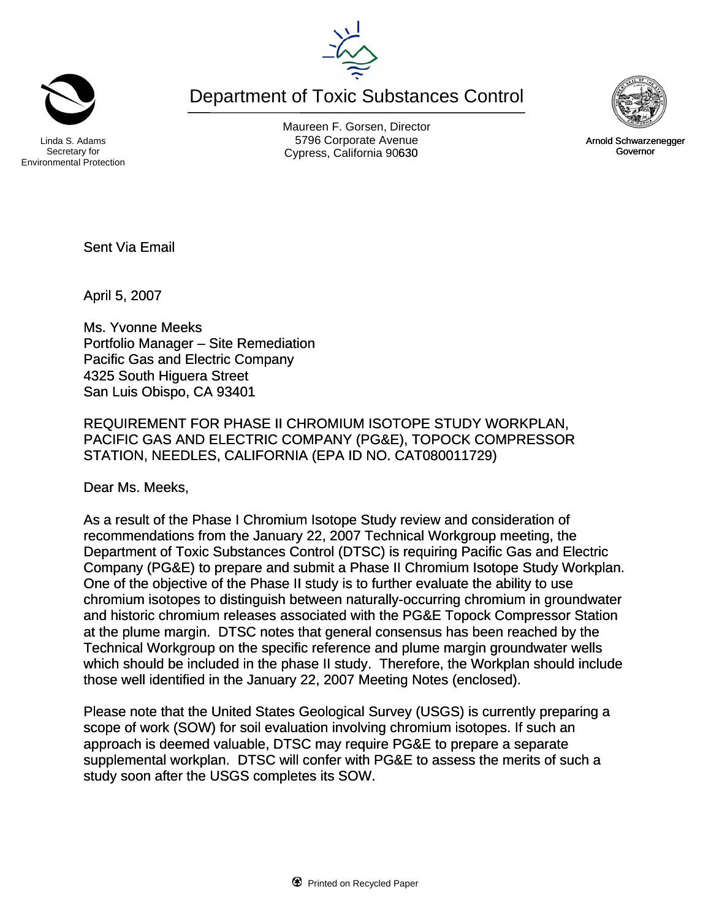Department of Toxic Substances Control





Arnold Schwarzenegger Governor

Secretary for Environmental Protection

Maureen F. Gorsen, Director Linda S. Adams **Example 20 Constructs** S796 Corporate Avenu Cypress, California 90630 **Canadian Cypress**, California 90630

Sent Via Email

April 5, 2007

Ms. Yvonne Meeks Portfolio Manager – Site Remediation Pacific Gas and Electric Company 4325 South Higuera Street San Luis Obispo, CA 93401

REQUIREMENT FOR PHASE II CHROMIUM ISOTOPE STUDY WORKPLAN, PACIFIC GAS AND ELECTRIC COMPANY (PG&E), TOPOCK COMPRESSOR STATION, NEEDLES, CALIFORNIA (EPA ID NO. CAT080011729)

Dear Ms. Meeks,

As a result of the Phase I Chromium Isotope Study review and consideration of recommendations from the January 22, 2007 Technical Workgroup meeting, the Department of Toxic Substances Control (DTSC) is requiring Pacific Gas and Electric Company (PG&E) to prepare and submit a Phase II Chromium Isotope Study Workplan. One of the objective of the Phase II study is to further evaluate the ability to use chromium isotopes to distinguish between naturally-occurring chromium in groundwater and historic chromium releases associated with the PG&E Topock Compressor Station at the plume margin. DTSC notes that general consensus has been reached by the Technical Workgroup on the specific reference and plume margin groundwater wells which should be included in the phase II study. Therefore, the Workplan should include those well identified in the January 22, 2007 Meeting Notes (enclosed).

Please note that the United States Geological Survey (USGS) is currently preparing a scope of work (SOW) for soil evaluation involving chromium isotopes. If such an approach is deemed valuable, DTSC may require PG&E to prepare a separate supplemental workplan. DTSC will confer with PG&E to assess the merits of such a study soon after the USGS completes its SOW.

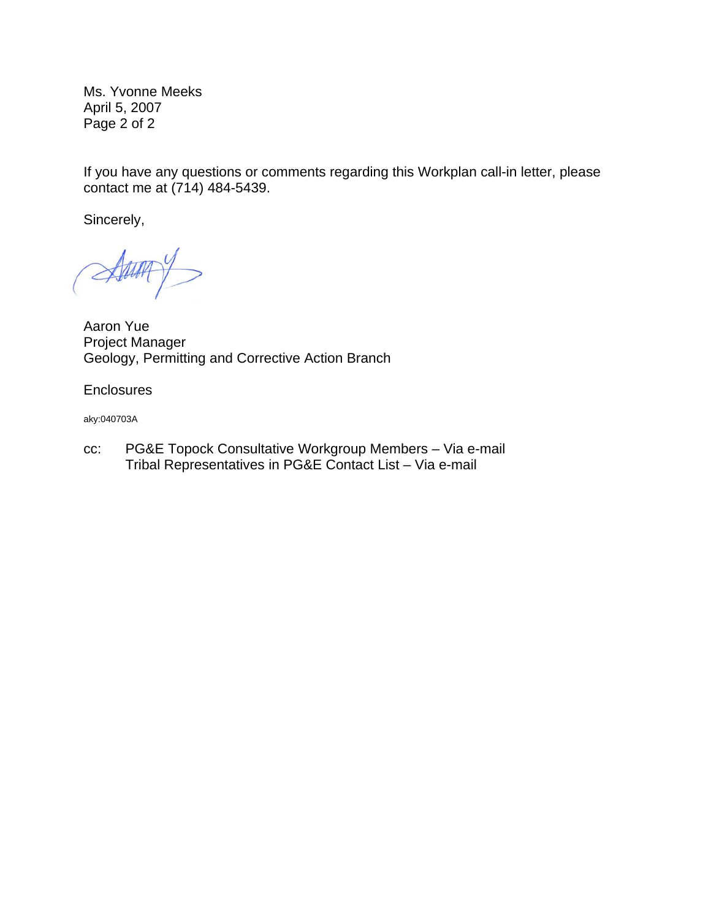Ms. Yvonne Meeks April 5, 2007 Page 2 of 2

If you have any questions or comments regarding this Workplan call-in letter, please contact me at (714) 484-5439.

Sincerely,

Alway

Aaron Yue Project Manager Geology, Permitting and Corrective Action Branch

**Enclosures** 

aky:040703A

cc: PG&E Topock Consultative Workgroup Members – Via e-mail Tribal Representatives in PG&E Contact List – Via e-mail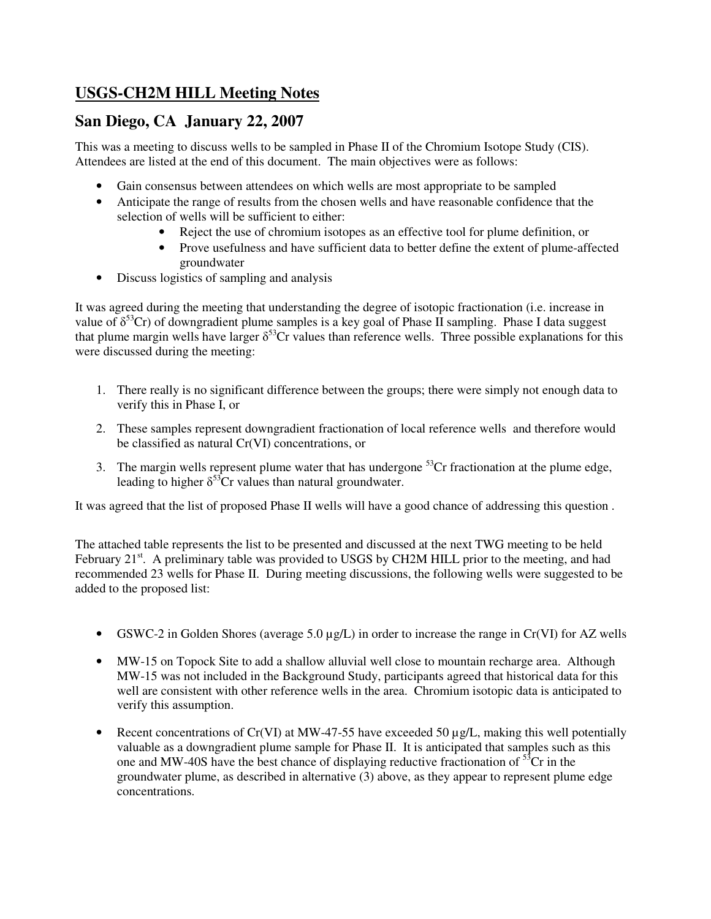# **USGS-CH2M HILL Meeting Notes**

## **San Diego, CA January 22, 2007**

This was a meeting to discuss wells to be sampled in Phase II of the Chromium Isotope Study (CIS). Attendees are listed at the end of this document. The main objectives were as follows:

- Gain consensus between attendees on which wells are most appropriate to be sampled
- Anticipate the range of results from the chosen wells and have reasonable confidence that the selection of wells will be sufficient to either:
	- Reject the use of chromium isotopes as an effective tool for plume definition, or
	- Prove usefulness and have sufficient data to better define the extent of plume-affected groundwater
- Discuss logistics of sampling and analysis

It was agreed during the meeting that understanding the degree of isotopic fractionation (i.e. increase in value of  $\delta^{53}$ Cr) of downgradient plume samples is a key goal of Phase II sampling. Phase I data suggest that plume margin wells have larger  $\delta^{53}$ Cr values than reference wells. Three possible explanations for this were discussed during the meeting:

- 1. There really is no significant difference between the groups; there were simply not enough data to verify this in Phase I, or
- 2. These samples represent downgradient fractionation of local reference wells and therefore would be classified as natural Cr(VI) concentrations, or
- 3. The margin wells represent plume water that has undergone  $5<sup>3</sup>Cr$  fractionation at the plume edge, leading to higher  $\delta^{53}$ Cr values than natural groundwater.

It was agreed that the list of proposed Phase II wells will have a good chance of addressing this question .

The attached table represents the list to be presented and discussed at the next TWG meeting to be held February 21 $^{\text{st}}$ . A preliminary table was provided to USGS by CH2M HILL prior to the meeting, and had recommended 23 wells for Phase II. During meeting discussions, the following wells were suggested to be added to the proposed list:

- GSWC-2 in Golden Shores (average 5.0  $\mu$ g/L) in order to increase the range in Cr(VI) for AZ wells
- MW-15 on Topock Site to add a shallow alluvial well close to mountain recharge area. Although MW-15 was not included in the Background Study, participants agreed that historical data for this well are consistent with other reference wells in the area. Chromium isotopic data is anticipated to verify this assumption.
- Recent concentrations of  $Cr(VI)$  at MW-47-55 have exceeded 50  $\mu g/L$ , making this well potentially valuable as a downgradient plume sample for Phase II. It is anticipated that samples such as this one and MW-40S have the best chance of displaying reductive fractionation of  $5\text{°C}$  in the groundwater plume, as described in alternative (3) above, as they appear to represent plume edge concentrations.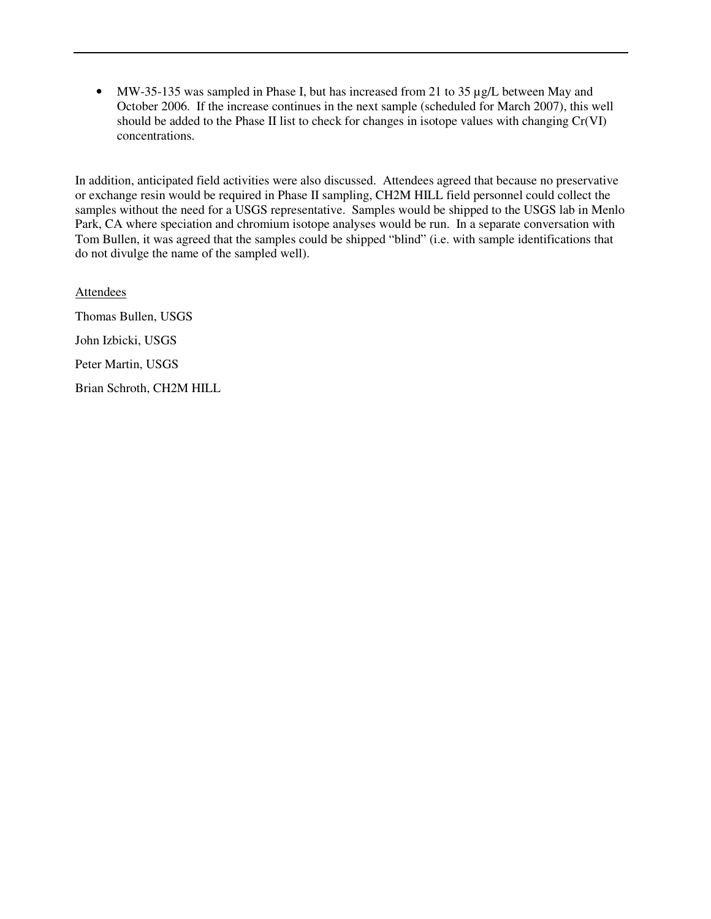• MW-35-135 was sampled in Phase I, but has increased from 21 to 35 µg/L between May and October 2006. If the increase continues in the next sample (scheduled for March 2007), this well should be added to the Phase II list to check for changes in isotope values with changing Cr(VI) concentrations.

In addition, anticipated field activities were also discussed. Attendees agreed that because no preservative or exchange resin would be required in Phase II sampling, CH2M HILL field personnel could collect the samples without the need for a USGS representative. Samples would be shipped to the USGS lab in Menlo Park, CA where speciation and chromium isotope analyses would be run. In a separate conversation with Tom Bullen, it was agreed that the samples could be shipped "blind" (i.e. with sample identifications that do not divulge the name of the sampled well).

**Attendees** Thomas Bullen, USGS John Izbicki, USGS Peter Martin, USGS Brian Schroth, CH2M HILL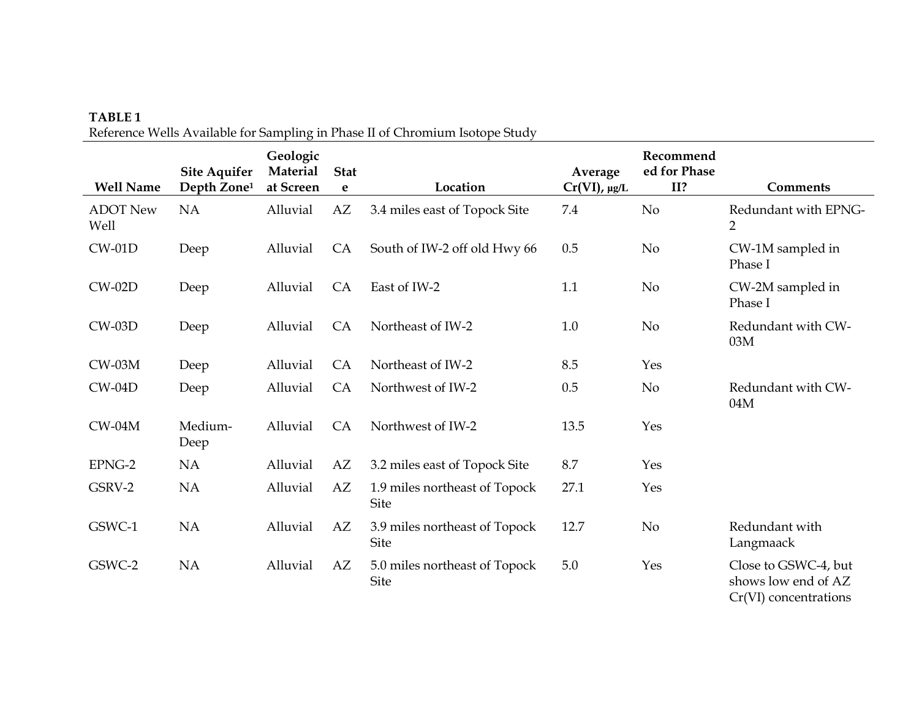### TABLE 1 Reference Wells Available for Sampling in Phase II of Chromium Isotope Study

| <b>Well Name</b>        | <b>Site Aquifer</b><br>Depth Zone <sup>1</sup> | Geologic<br>Material<br>at Screen | <b>Stat</b><br>e | Location                                     | Average<br>$Cr(VI)$ , µg/L | Recommend<br>ed for Phase<br>II? | <b>Comments</b>                                                      |
|-------------------------|------------------------------------------------|-----------------------------------|------------------|----------------------------------------------|----------------------------|----------------------------------|----------------------------------------------------------------------|
| <b>ADOT New</b><br>Well | <b>NA</b>                                      | Alluvial                          | AZ               | 3.4 miles east of Topock Site                | 7.4                        | N <sub>o</sub>                   | Redundant with EPNG-<br>$\overline{2}$                               |
| $CW-01D$                | Deep                                           | Alluvial                          | <b>CA</b>        | South of IW-2 off old Hwy 66                 | 0.5                        | No                               | CW-1M sampled in<br>Phase I                                          |
| $CW-02D$                | Deep                                           | Alluvial                          | CA               | East of IW-2                                 | 1.1                        | N <sub>o</sub>                   | CW-2M sampled in<br>Phase I                                          |
| $CW-03D$                | Deep                                           | Alluvial                          | CA               | Northeast of IW-2                            | 1.0                        | N <sub>o</sub>                   | Redundant with CW-<br>03M                                            |
| $CW-03M$                | Deep                                           | Alluvial                          | CA               | Northeast of IW-2                            | 8.5                        | Yes                              |                                                                      |
| $CW-04D$                | Deep                                           | Alluvial                          | CA               | Northwest of IW-2                            | 0.5                        | N <sub>o</sub>                   | Redundant with CW-<br>04M                                            |
| $CW-04M$                | Medium-<br>Deep                                | Alluvial                          | <b>CA</b>        | Northwest of IW-2                            | 13.5                       | Yes                              |                                                                      |
| EPNG-2                  | <b>NA</b>                                      | Alluvial                          | AZ               | 3.2 miles east of Topock Site                | 8.7                        | Yes                              |                                                                      |
| GSRV-2                  | <b>NA</b>                                      | Alluvial                          | AZ               | 1.9 miles northeast of Topock<br><b>Site</b> | 27.1                       | Yes                              |                                                                      |
| GSWC-1                  | <b>NA</b>                                      | Alluvial                          | AZ               | 3.9 miles northeast of Topock<br><b>Site</b> | 12.7                       | No                               | Redundant with<br>Langmaack                                          |
| GSWC-2                  | <b>NA</b>                                      | Alluvial                          | AZ               | 5.0 miles northeast of Topock<br><b>Site</b> | 5.0                        | Yes                              | Close to GSWC-4, but<br>shows low end of AZ<br>Cr(VI) concentrations |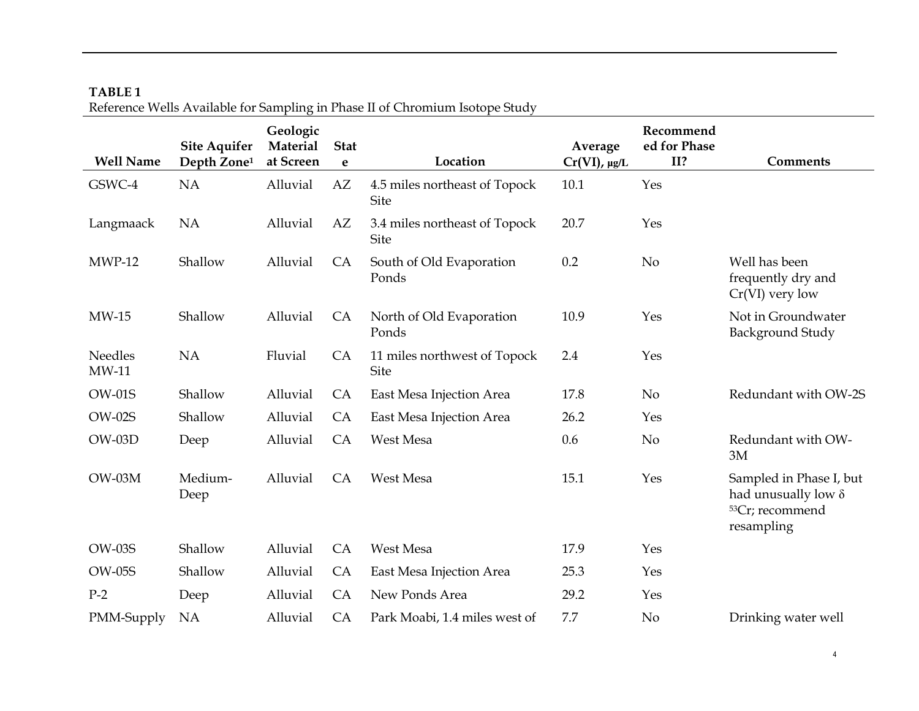|                           | <b>Site Aquifer</b>     | Geologic<br>Material | <b>Stat</b> |                                              | Average         | Recommend<br>ed for Phase |                                                                                                    |
|---------------------------|-------------------------|----------------------|-------------|----------------------------------------------|-----------------|---------------------------|----------------------------------------------------------------------------------------------------|
| <b>Well Name</b>          | Depth Zone <sup>1</sup> | at Screen            | e           | Location                                     | $Cr(VI)$ , µg/L | II?                       | <b>Comments</b>                                                                                    |
| GSWC-4                    | <b>NA</b>               | Alluvial             | AZ          | 4.5 miles northeast of Topock<br><b>Site</b> | 10.1            | Yes                       |                                                                                                    |
| Langmaack                 | <b>NA</b>               | Alluvial             | AZ          | 3.4 miles northeast of Topock<br><b>Site</b> | 20.7            | Yes                       |                                                                                                    |
| $MWP-12$                  | Shallow                 | Alluvial             | CA          | South of Old Evaporation<br>Ponds            | 0.2             | No                        | Well has been<br>frequently dry and<br>$Cr(VI)$ very low                                           |
| $MW-15$                   | Shallow                 | Alluvial             | CA          | North of Old Evaporation<br>Ponds            | 10.9            | Yes                       | Not in Groundwater<br>Background Study                                                             |
| <b>Needles</b><br>$MW-11$ | NA                      | Fluvial              | CA          | 11 miles northwest of Topock<br><b>Site</b>  | 2.4             | Yes                       |                                                                                                    |
| <b>OW-01S</b>             | Shallow                 | Alluvial             | CA          | East Mesa Injection Area                     | 17.8            | N <sub>o</sub>            | Redundant with OW-2S                                                                               |
| <b>OW-02S</b>             | Shallow                 | Alluvial             | CA          | East Mesa Injection Area                     | 26.2            | Yes                       |                                                                                                    |
| $OW-03D$                  | Deep                    | Alluvial             | CA          | West Mesa                                    | 0.6             | N <sub>o</sub>            | Redundant with OW-<br>3M                                                                           |
| $OW-03M$                  | Medium-<br>Deep         | Alluvial             | <b>CA</b>   | West Mesa                                    | 15.1            | Yes                       | Sampled in Phase I, but<br>had unusually low $\delta$<br><sup>53</sup> Cr; recommend<br>resampling |
| <b>OW-03S</b>             | Shallow                 | Alluvial             | CA          | West Mesa                                    | 17.9            | Yes                       |                                                                                                    |
| <b>OW-05S</b>             | Shallow                 | Alluvial             | CA          | East Mesa Injection Area                     | 25.3            | Yes                       |                                                                                                    |
| $P-2$                     | Deep                    | Alluvial             | CA          | New Ponds Area                               | 29.2            | Yes                       |                                                                                                    |
| PMM-Supply                | NA                      | Alluvial             | CA          | Park Moabi, 1.4 miles west of                | 7.7             | N <sub>o</sub>            | Drinking water well                                                                                |

## TABLE 1 Reference Wells Available for Sampling in Phase II of Chromium Isotope Study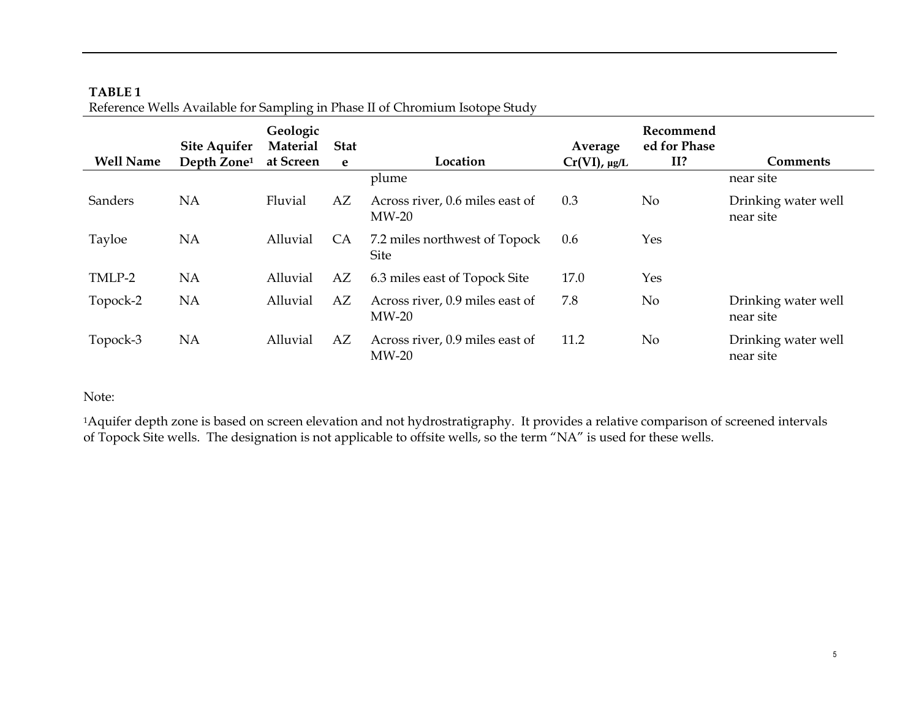| <b>Well Name</b> | <b>Site Aquifer</b><br>Depth Zone <sup>1</sup> | Geologic<br><b>Material</b><br>at Screen | <b>Stat</b><br>e | Location                                   | Average<br>$Cr(VI)$ , µg/L | Recommend<br>ed for Phase<br>II? | <b>Comments</b>                  |
|------------------|------------------------------------------------|------------------------------------------|------------------|--------------------------------------------|----------------------------|----------------------------------|----------------------------------|
|                  |                                                |                                          |                  | plume                                      |                            |                                  | near site                        |
| Sanders          | <b>NA</b>                                      | Fluvial                                  | AZ               | Across river, 0.6 miles east of<br>$MW-20$ | 0.3                        | N <sub>o</sub>                   | Drinking water well<br>near site |
| Tayloe           | <b>NA</b>                                      | Alluvial                                 | <b>CA</b>        | 7.2 miles northwest of Topock<br>Site      | 0.6                        | Yes                              |                                  |
| TMLP-2           | <b>NA</b>                                      | Alluvial                                 | AZ               | 6.3 miles east of Topock Site              | 17.0                       | Yes                              |                                  |
| Topock-2         | NA                                             | Alluvial                                 | AZ               | Across river, 0.9 miles east of<br>$MW-20$ | 7.8                        | No                               | Drinking water well<br>near site |
| Topock-3         | NA                                             | Alluvial                                 | AZ               | Across river, 0.9 miles east of<br>$MW-20$ | 11.2                       | N <sub>o</sub>                   | Drinking water well<br>near site |

### TABLE 1 Reference Wells Available for Sampling in Phase II of Chromium Isotope Study

Note:

1Aquifer depth zone is based on screen elevation and not hydrostratigraphy. It provides a relative comparison of screened intervals of Topock Site wells. The designation is not applicable to offsite wells, so the term "NA" is used for these wells.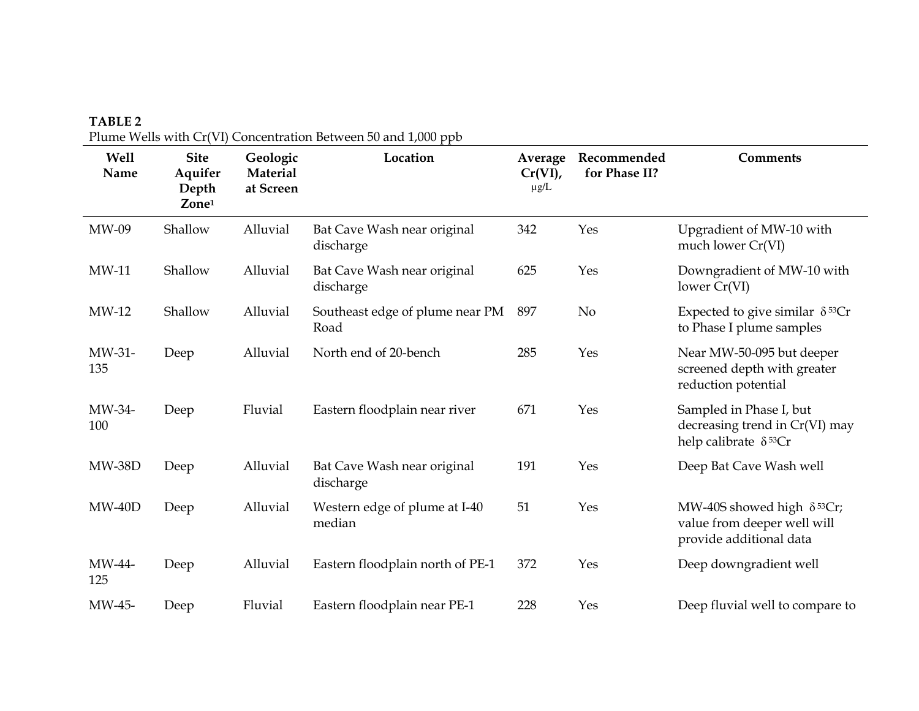| <b>Well</b><br>Name | <b>Site</b><br>Aquifer<br>Depth<br>Zone <sup>1</sup> | Geologic<br>Material<br>at Screen | $\alpha$ range rection that $\alpha$ (r) concentration between so and 17000 ppb<br>Location | Average<br>$Cr(VI)$ ,<br>$\mu$ g/L | Recommended<br>for Phase II? | <b>Comments</b>                                                                                         |
|---------------------|------------------------------------------------------|-----------------------------------|---------------------------------------------------------------------------------------------|------------------------------------|------------------------------|---------------------------------------------------------------------------------------------------------|
| MW-09               | Shallow                                              | Alluvial                          | Bat Cave Wash near original<br>discharge                                                    | 342                                | Yes                          | Upgradient of MW-10 with<br>much lower Cr(VI)                                                           |
| $MW-11$             | Shallow                                              | Alluvial                          | Bat Cave Wash near original<br>discharge                                                    | 625                                | Yes                          | Downgradient of MW-10 with<br>lower Cr(VI)                                                              |
| $MW-12$             | Shallow                                              | Alluvial                          | Southeast edge of plume near PM<br>Road                                                     | 897                                | No                           | Expected to give similar $\delta^{53}Cr$<br>to Phase I plume samples                                    |
| MW-31-<br>135       | Deep                                                 | Alluvial                          | North end of 20-bench                                                                       | 285                                | Yes                          | Near MW-50-095 but deeper<br>screened depth with greater<br>reduction potential                         |
| MW-34-<br>100       | Deep                                                 | Fluvial                           | Eastern floodplain near river                                                               | 671                                | Yes                          | Sampled in Phase I, but<br>decreasing trend in Cr(VI) may<br>help calibrate $\delta^{53}Cr$             |
| <b>MW-38D</b>       | Deep                                                 | Alluvial                          | Bat Cave Wash near original<br>discharge                                                    | 191                                | Yes                          | Deep Bat Cave Wash well                                                                                 |
| $MW-40D$            | Deep                                                 | Alluvial                          | Western edge of plume at I-40<br>median                                                     | 51                                 | Yes                          | MW-40S showed high $\delta$ <sup>53</sup> Cr;<br>value from deeper well will<br>provide additional data |
| MW-44-<br>125       | Deep                                                 | Alluvial                          | Eastern floodplain north of PE-1                                                            | 372                                | Yes                          | Deep downgradient well                                                                                  |
| MW-45-              | Deep                                                 | Fluvial                           | Eastern floodplain near PE-1                                                                | 228                                | Yes                          | Deep fluvial well to compare to                                                                         |

TABLE 2 Plume Wells with Cr(VI) Concentration Between 50 and 1,000 ppb